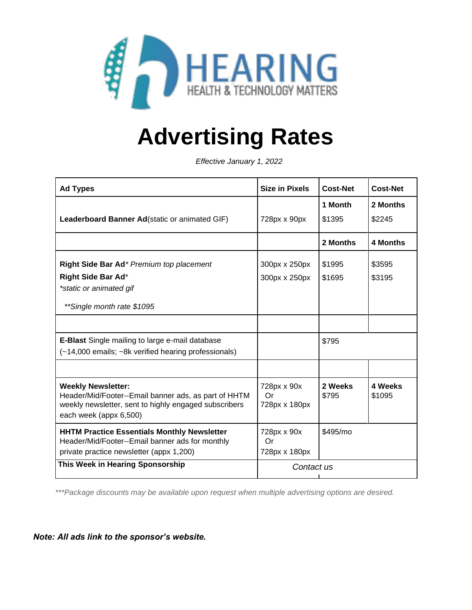

# **Advertising Rates**

*Effective January 1, 2022*

| <b>Ad Types</b>                                                                                               | <b>Size in Pixels</b> | <b>Cost-Net</b> | <b>Cost-Net</b> |
|---------------------------------------------------------------------------------------------------------------|-----------------------|-----------------|-----------------|
|                                                                                                               |                       | 1 Month         | 2 Months        |
| Leaderboard Banner Ad(static or animated GIF)                                                                 | 728px x 90px          | \$1395          | \$2245          |
|                                                                                                               |                       | 2 Months        | 4 Months        |
| Right Side Bar Ad* Premium top placement                                                                      | 300px x 250px         | \$1995          | \$3595          |
| Right Side Bar Ad*                                                                                            | 300px x 250px         | \$1695          | \$3195          |
| *static or animated gif                                                                                       |                       |                 |                 |
| **Single month rate \$1095                                                                                    |                       |                 |                 |
|                                                                                                               |                       |                 |                 |
| <b>E-Blast</b> Single mailing to large e-mail database                                                        |                       | \$795           |                 |
| (~14,000 emails; ~8k verified hearing professionals)                                                          |                       |                 |                 |
|                                                                                                               |                       |                 |                 |
| <b>Weekly Newsletter:</b>                                                                                     | 728px x 90x           | 2 Weeks         | 4 Weeks         |
| Header/Mid/Footer--Email banner ads, as part of HHTM<br>weekly newsletter, sent to highly engaged subscribers | Or<br>728px x 180px   | \$795           | \$1095          |
| each week (appx 6,500)                                                                                        |                       |                 |                 |
| <b>HHTM Practice Essentials Monthly Newsletter</b>                                                            | 728px x 90x           | \$495/mo        |                 |
| Header/Mid/Footer--Email banner ads for monthly<br>private practice newsletter (appx 1,200)                   | Or<br>728px x 180px   |                 |                 |
| This Week in Hearing Sponsorship                                                                              | Contact us            |                 |                 |
|                                                                                                               |                       |                 |                 |

*\*\*\*Package discounts may be available upon request when multiple advertising options are desired.*

*Note: All ads link to the sponsor's website.*